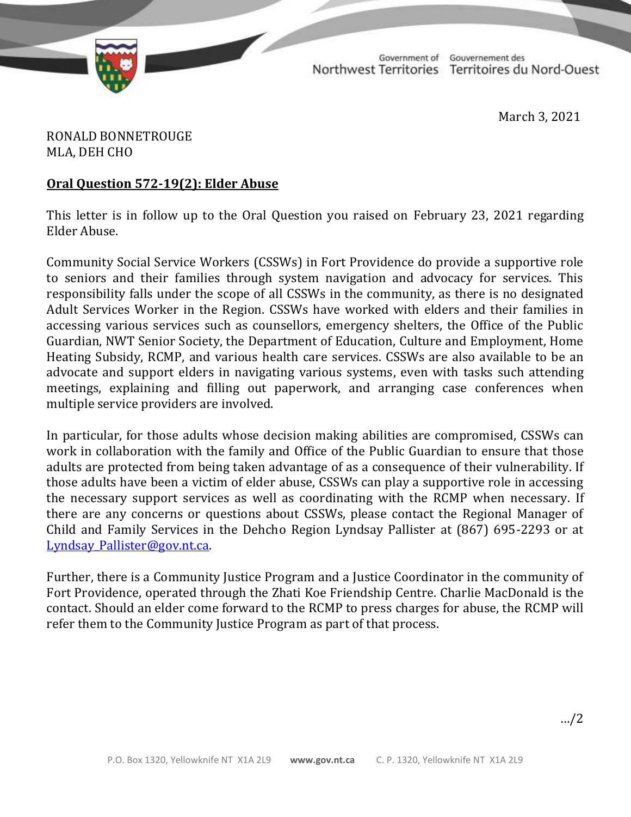

TD 341-19(2) TABLED ON MARCH 4, 2021

Government of Gouvernement des Northwest Territories Territoires du Nord-Ouest

March 3, 2021

RONALD BONNETROUGE MLA, DEH CHO

## **Oral Question 572-19(2): Elder Abuse**

This letter is in follow up to the Oral Question you raised on February 23, 2021 regarding Elder Abuse.

Community Social Service Workers (CSSWs) in Fort Providence do provide a supportive role to seniors and their families through system navigation and advocacy for services. This responsibility falls under the scope of all CSSWs in the community, as there is no designated Adult Services Worker in the Region. CSSWs have worked with elders and their families in accessing various services such as counsellors, emergency shelters, the Office of the Public Guardian, NWT Senior Society, the Department of Education, Culture and Employment, Home Heating Subsidy, RCMP, and various health care services. CSSWs are also available to be an advocate and support elders in navigating various systems, even with tasks such attending meetings, explaining and filling out paperwork, and arranging case conferences when multiple service providers are involved.

In particular, for those adults whose decision making abilities are compromised, CSSWs can work in collaboration with the family and Office of the Public Guardian to ensure that those adults are protected from being taken advantage of as a consequence of their vulnerability. If those adults have been a victim of elder abuse, CSSWs can play a supportive role in accessing the necessary support services as well as coordinating with the RCMP when necessary. If there are any concerns or questions about CSSWs, please contact the Regional Manager of Child and Family Services in the Dehcho Region Lyndsay Pallister at (867) 695-2293 or at [Lyndsay\\_Pallister@gov.nt.ca.](mailto:Lyndsay_Pallister@gov.nt.ca)

Further, there is a Community Justice Program and a Justice Coordinator in the community of Fort Providence, operated through the Zhati Koe Friendship Centre. Charlie MacDonald is the contact. Should an elder come forward to the RCMP to press charges for abuse, the RCMP will refer them to the Community Justice Program as part of that process.

…/2